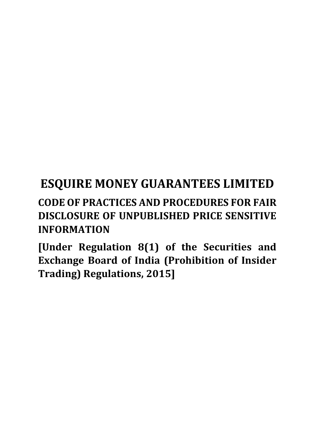# **ESQUIRE MONEY GUARANTEES LIMITED CODE OF PRACTICES AND PROCEDURES FOR FAIR**

# **DISCLOSURE OF UNPUBLISHED PRICE SENSITIVE INFORMATION**

**[Under Regulation 8(1) of the Securities and Exchange Board of India (Prohibition of Insider Trading) Regulations, 2015]**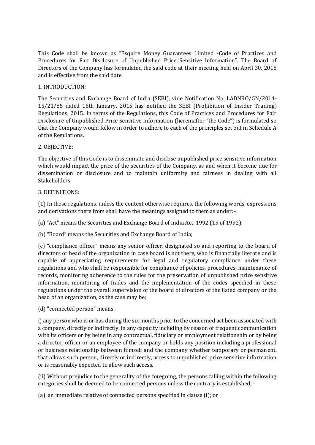This Code shall be known as "Esquire Money Guarantees Limited -Code of Practices and Procedures for Fair Disclosure of Unpublished Price Sensitive Information". The Board of Directors of the Company has formulated the said code at their meeting held on April 30, 2015 and is effective from the said date.

### 1. INTRODUCTION:

The Securities and Exchange Board of India (SEBI), vide Notification No. LADNRO/GN/2014- 15/21/85 dated 15th January, 2015 has notified the SEBI (Prohibition of Insider Trading) Regulations, 2015. In terms of the Regulations, this Code of Practices and Procedures for Fair Disclosure of Unpublished Price Sensitive Information (hereinafter "the Code") is formulated so that the Company would follow in order to adhere to each of the principles set out in Schedule A of the Regulations.

### 2. OBJECTIVE:

The objective of this Code is to disseminate and disclose unpublished price sensitive information which would impact the price of the securities of the Company, as and when it become due for dissemination or disclosure and to maintain uniformity and fairness in dealing with all Stakeholders.

### 3. DEFINITIONS:

(1) In these regulations, unless the context otherwise requires, the following words, expressions and derivations there from shall have the meanings assigned to them as under:–

(a) "Act" means the Securities and Exchange Board of India Act, 1992 (15 of 1992);

(b) "Board" means the Securities and Exchange Board of India;

(c) "compliance officer" means any senior officer, designated so and reporting to the board of directors or head of the organization in case board is not there, who is financially literate and is capable of appreciating requirements for legal and regulatory compliance under these regulations and who shall be responsible for compliance of policies, procedures, maintenance of records, monitoring adherence to the rules for the preservation of unpublished price sensitive information, monitoring of trades and the implementation of the codes specified in these regulations under the overall supervision of the board of directors of the listed company or the head of an organization, as the case may be;

(d) "connected person" means,-

i) any person who is or has during the six months prior to the concerned act been associated with a company, directly or indirectly, in any capacity including by reason of frequent communication with its officers or by being in any contractual, fiduciary or employment relationship or by being a director, officer or an employee of the company or holds any position including a professional or business relationship between himself and the company whether temporary or permanent, that allows such person, directly or indirectly, access to unpublished price sensitive information or is reasonably expected to allow such access.

(ii) Without prejudice to the generality of the foregoing, the persons falling within the following categories shall be deemed to be connected persons unless the contrary is established, -

(a). an immediate relative of connected persons specified in clause (i); or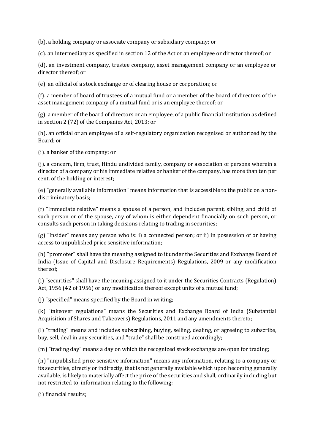(b). a holding company or associate company or subsidiary company; or

(c). an intermediary as specified in section 12 of the Act or an employee or director thereof; or

(d). an investment company, trustee company, asset management company or an employee or director thereof; or

(e). an official of a stock exchange or of clearing house or corporation; or

(f). a member of board of trustees of a mutual fund or a member of the board of directors of the asset management company of a mutual fund or is an employee thereof; or

(g). a member of the board of directors or an employee, of a public financial institution as defined in section 2 (72) of the Companies Act, 2013; or

(h). an official or an employee of a self-regulatory organization recognised or authorized by the Board; or

(i). a banker of the company; or

(j). a concern, firm, trust, Hindu undivided family, company or association of persons wherein a director of a company or his immediate relative or banker of the company, has more than ten per cent. of the holding or interest;

(e) "generally available information" means information that is accessible to the public on a nondiscriminatory basis;

(f) "Immediate relative" means a spouse of a person, and includes parent, sibling, and child of such person or of the spouse, any of whom is either dependent financially on such person, or consults such person in taking decisions relating to trading in securities;

(g) "Insider" means any person who is: i) a connected person; or ii) in possession of or having access to unpublished price sensitive information;

(h) "promoter" shall have the meaning assigned to it under the Securities and Exchange Board of India (Issue of Capital and Disclosure Requirements) Regulations, 2009 or any modification thereof;

(i) "securities" shall have the meaning assigned to it under the Securities Contracts (Regulation) Act, 1956 (42 of 1956) or any modification thereof except units of a mutual fund;

(j) "specified" means specified by the Board in writing;

(k) "takeover regulations" means the Securities and Exchange Board of India (Substantial Acquisition of Shares and Takeovers) Regulations, 2011 and any amendments thereto;

(l) "trading" means and includes subscribing, buying, selling, dealing, or agreeing to subscribe, buy, sell, deal in any securities, and "trade" shall be construed accordingly;

(m) "trading day" means a day on which the recognized stock exchanges are open for trading;

(n) "unpublished price sensitive information" means any information, relating to a company or its securities, directly or indirectly, that is not generally available which upon becoming generally available, is likely to materially affect the price of the securities and shall, ordinarily including but not restricted to, information relating to the following: –

(i) financial results;